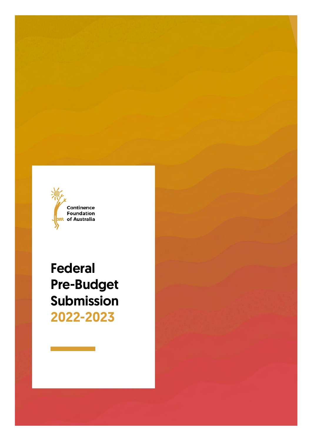

Federal Pre-Budget Submission 2022-2023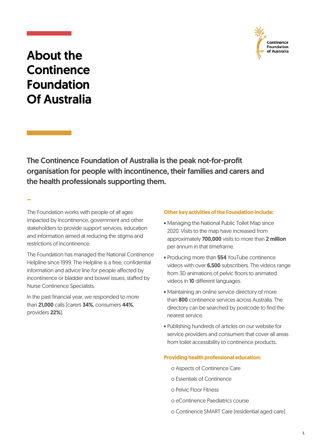

## About the **Continence** Foundation Of Australia

–

The Continence Foundation of Australia is the peak not-for-profit organisation for people with incontinence, their families and carers and the health professionals supporting them.

The Foundation works with people of all ages impacted by incontinence, government and other stakeholders to provide support services, education and information aimed at reducing the stigma and restrictions of incontinence.

The Foundation has managed the National Continence Helpline since 1999. The Helpline is a free, confidential information and advice line for people affected by incontinence or bladder and bowel issues, staffed by Nurse Continence Specialists.

In the past financial year, we responded to more than 21,000 calls (carers 34%, consumers 44%, providers 22%).

#### **Other key activities of the Foundation include:**

- Managing the National Public Toilet Map since 2020. Visits to the map have increased from approximately 700.000 visits to more than 2 million per annum in that timeframe.
- Producing more than 554 YouTube continence videos with over 6,500 subscribers. The videos range from 3D animations of pelvic floors to animated videos in 10 different languages.
- Maintaining an online service directory of more than 800 continence services across Australia. The directory can be searched by postcode to find the nearest service.
- Publishing hundreds of articles on our website for service providers and consumers that cover all areas from toilet accessibility to continence products.

#### **Providing health professional education:**

- o Aspects of Continence Care
- o Essentials of Continence
- o Pelvic Floor Fitness
- o eContinence Paediatrics course
- o Continence SMART Care (residential aged care)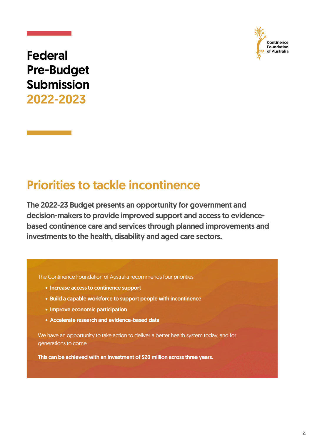

# Federal Pre-Budget Submission 2022-2023

# Priorities to tackle incontinence

The 2022-23 Budget presents an opportunity for government and decision-makers to provide improved support and access to evidencebased continence care and services through planned improvements and investments to the health, disability and aged care sectors.

The Continence Foundation of Australia recommends four priorities:

- Increase access to continence support
- Build a capable workforce to support people with incontinence
- Improve economic participation
- Accelerate research and evidence-based data

We have an opportunity to take action to deliver a better health system today, and for generations to come.

This can be achieved with an investment of \$20 million across three years.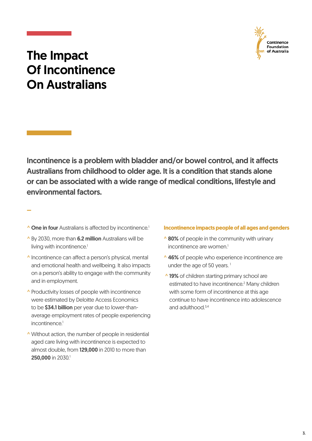

## The Impact Of Incontinence On Australians

Incontinence is a problem with bladder and/or bowel control, and it affects Australians from childhood to older age. It is a condition that stands alone or can be associated with a wide range of medical conditions, lifestyle and environmental factors.

**^ One in four** Australians is affected by incontinence.<sup>1</sup>

–

- ^ By 2030, more than 6.2 million Australians will be living with incontinence.<sup>1</sup>
- ^ Incontinence can affect a person's physical, mental and emotional health and wellbeing. It also impacts on a person's ability to engage with the community and in employment.
- ^ Productivity losses of people with incontinence were estimated by Deloitte Access Economics to be \$34.1 billion per year due to lower-thanaverage employment rates of people experiencing incontinence.<sup>1</sup>
- ^ Without action, the number of people in residential aged care living with incontinence is expected to almost double, from 129,000 in 2010 to more than 250,000 in 2030.<sup>1</sup>

#### **Incontinence impacts people of all ages and genders**

- incontinence are women.<sup>1</sup>
- ^ 46% of people who experience incontinence are under the age of 50 years.<sup>1</sup>
- **^ 19%** of children starting primary school are estimated to have incontinence.<sup>2</sup> Many children with some form of incontinence at this age continue to have incontinence into adolescence and adulthood  $3,4$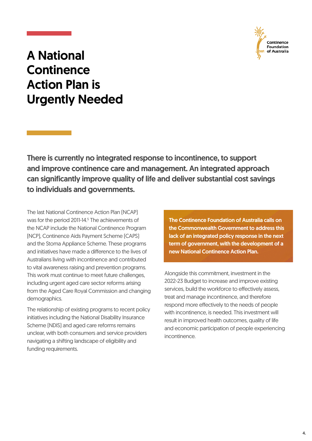

## A National **Continence** Action Plan is Urgently Needed

There is currently no integrated response to incontinence, to support and improve continence care and management. An integrated approach can significantly improve quality of life and deliver substantial cost savings to individuals and governments.

The last National Continence Action Plan (NCAP) was for the period 2011-14.<sup>5</sup> The achievements of the NCAP include the National Continence Program (NCP), Continence Aids Payment Scheme (CAPS) and the Stoma Appliance Scheme. These programs and initiatives have made a difference to the lives of Australians living with incontinence and contributed to vital awareness raising and prevention programs. This work must continue to meet future challenges, including urgent aged care sector reforms arising from the Aged Care Royal Commission and changing demographics.

The relationship of existing programs to recent policy initiatives including the National Disability Insurance Scheme (NDIS) and aged care reforms remains unclear, with both consumers and service providers navigating a shifting landscape of eligibility and funding requirements.

The Continence Foundation of Australia calls on the Commonwealth Government to address this lack of an integrated policy response in the next term of government, with the development of a new National Continence Action Plan.

Alongside this commitment, investment in the 2022-23 Budget to increase and improve existing services, build the workforce to effectively assess, treat and manage incontinence, and therefore respond more effectively to the needs of people with incontinence, is needed. This investment will result in improved health outcomes, quality of life and economic participation of people experiencing incontinence.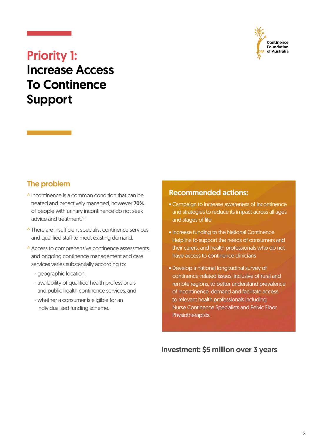

## Priority 1: Increase Access To Continence Support

### The problem

- ^ Incontinence is a common condition that can be treated and proactively managed, however 70% of people with urinary incontinence do not seek advice and treatment.<sup>6,7</sup>
- ^ There are insufficient specialist continence services and qualified staff to meet existing demand.
- ^ Access to comprehensive continence assessments and ongoing continence management and care services varies substantially according to:
	- geographic location,
	- availability of qualified health professionals and public health continence services, and
	- whether a consumer is eligible for an individualised funding scheme.

#### Recommended actions:

- Campaign to increase awareness of incontinence and strategies to reduce its impact across all ages and stages of life
- Increase funding to the National Continence Helpline to support the needs of consumers and their carers, and health professionals who do not have access to continence clinicians
- Develop a national longitudinal survey of continence-related issues, inclusive of rural and remote regions, to better understand prevalence of incontinence, demand and facilitate access to relevant health professionals including Nurse Continence Specialists and Pelvic Floor Physiotherapists.

#### Investment: \$5 million over 3 years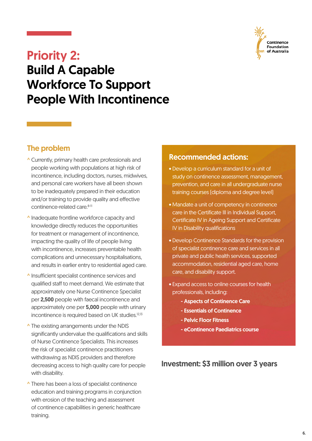

### Priority 2: Build A Capable Workforce To Support

People With Incontinence

### The problem

- ^ Currently, primary health care professionals and people working with populations at high risk of incontinence, including doctors, nurses, midwives, and personal care workers have all been shown to be inadequately prepared in their education and/or training to provide quality and effective continence-related care.<sup>8-11</sup>
- ^ Inadequate frontline workforce capacity and knowledge directly reduces the opportunities for treatment or management of incontinence, impacting the quality of life of people living with incontinence, increases preventable health complications and unnecessary hospitalisations, and results in earlier entry to residential aged care.
- ^ Insufficient specialist continence services and qualified staff to meet demand. We estimate that approximately one Nurse Continence Specialist per 2,500 people with faecal incontinence and approximately one per 5,000 people with urinary incontinence is required based on UK studies.<sup>12,13</sup>
- ^ The existing arrangements under the NDIS significantly undervalue the qualifications and skills of Nurse Continence Specialists. This increases the risk of specialist continence practitioners withdrawing as NDIS providers and therefore decreasing access to high quality care for people with disability.
- ^ There has been a loss of specialist continence education and training programs in conjunction with erosion of the teaching and assessment of continence capabilities in generic healthcare training.

#### Recommended actions:

- Develop a curriculum standard for a unit of study on continence assessment, management, prevention, and care in all undergraduate nurse training courses (diploma and degree level)
- Mandate a unit of competency in continence care in the Certificate III in Individual Support, Certificate IV in Ageing Support and Certificate IV in Disability qualifications
- Develop Continence Standards for the provision of specialist continence care and services in all private and public health services, supported accommodation, residential aged care, home care, and disability support.
- Expand access to online courses for health professionals, including:
	- Aspects of Continence Care
	- Essentials of Continence
	- Pelvic Floor Fitness
	- eContinence Paediatrics course

#### Investment: \$3 million over 3 years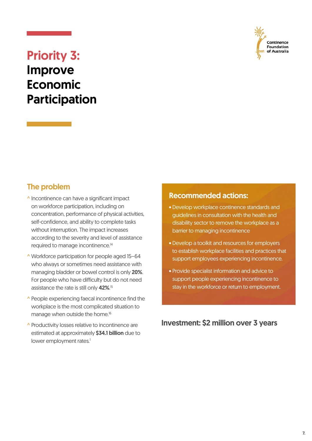

## Priority 3: Improve Economic Participation

### The problem

- ^ Incontinence can have a significant impact on workforce participation, including on concentration, performance of physical activities, self-confidence, and ability to complete tasks without interruption. The impact increases according to the severity and level of assistance required to manage incontinence.14
- ^ Workforce participation for people aged 15–64 who always or sometimes need assistance with managing bladder or bowel control is only 20%. For people who have difficulty but do not need assistance the rate is still only 42%.<sup>15</sup>
- ^ People experiencing faecal incontinence find the workplace is the most complicated situation to manage when outside the home.<sup>16</sup>
- ^ Productivity losses relative to incontinence are estimated at approximately \$34.1 billion due to lower employment rates.<sup>1</sup>

#### Recommended actions:

- Develop workplace continence standards and guidelines in consultation with the health and disability sector to remove the workplace as a barrier to managing incontinence
- Develop a toolkit and resources for employers to establish workplace facilities and practices that support employees experiencing incontinence.
- Provide specialist information and advice to support people experiencing incontinence to stay in the workforce or return to employment.

Investment: \$2 million over 3 years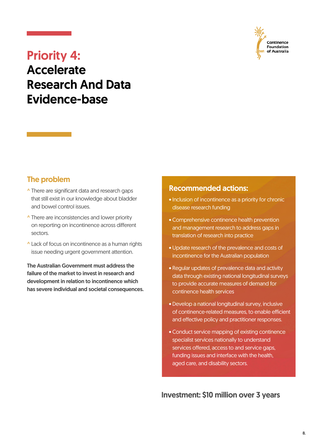

## Priority 4: **Accelerate** Research And Data Evidence-base

### The problem

- ^ There are significant data and research gaps that still exist in our knowledge about bladder and bowel control issues.
- **^ There are inconsistencies and lower priority** on reporting on incontinence across different sectors.
- ^ Lack of focus on incontinence as a human rights issue needing urgent government attention.

The Australian Government must address the failure of the market to invest in research and development in relation to incontinence which has severe individual and societal consequences.

#### Recommended actions:

- Inclusion of incontinence as a priority for chronic disease research funding
- Comprehensive continence health prevention and management research to address gaps in translation of research into practice
- Update research of the prevalence and costs of incontinence for the Australian population
- Regular updates of prevalence data and activity data through existing national longitudinal surveys to provide accurate measures of demand for continence health services
- Develop a national longitudinal survey, inclusive of continence-related measures, to enable efficient and effective policy and practitioner responses.
- Conduct service mapping of existing continence specialist services nationally to understand services offered, access to and service gaps. funding issues and interface with the health, aged care, and disability sectors.

Investment: \$10 million over 3 years